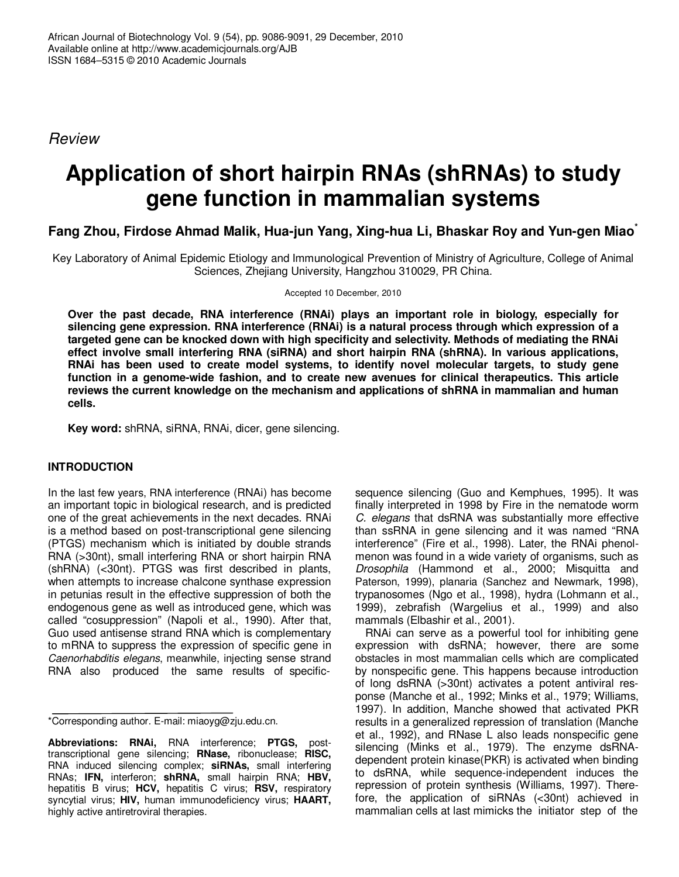*Review*

# **Application of short hairpin RNAs (shRNAs) to study gene function in mammalian systems**

# **Fang Zhou, Firdose Ahmad Malik, Hua-jun Yang, Xing-hua Li, Bhaskar Roy and Yun-gen Miao \***

Key Laboratory of Animal Epidemic Etiology and Immunological Prevention of Ministry of Agriculture, College of Animal Sciences, Zhejiang University, Hangzhou 310029, PR China.

Accepted 10 December, 2010

**Over the past decade, RNA interference (RNAi) plays an important role in biology, especially for silencing gene expression. RNA interference (RNAi) is a natural process through which expression of a targeted gene can be knocked down with high specificity and selectivity. Methods of mediating the RNAi effect involve small interfering RNA (siRNA) and short hairpin RNA (shRNA). In various applications, RNAi has been used to create model systems, to identify novel molecular targets, to study gene function in a genome-wide fashion, and to create new avenues for clinical therapeutics. This article reviews the current knowledge on the mechanism and applications of shRNA in mammalian and human cells.**

**Key word:** shRNA, siRNA, RNAi, dicer, gene silencing.

# **INTRODUCTION**

In the last few years, RNA interference (RNAi) has become an important topic in biological research, and is predicted one of the great achievements in the next decades. RNAi is a method based on post-transcriptional gene silencing (PTGS) mechanism which is initiated by double strands RNA (>30nt), small interfering RNA or short hairpin RNA (shRNA) (<30nt). PTGS was first described in plants, when attempts to increase chalcone synthase expression in petunias result in the effective suppression of both the endogenous gene as well as introduced gene, which was called "cosuppression" (Napoli et al., 1990). After that, Guo used antisense strand RNA which is complementary to mRNA to suppress the expression of specific gene in *Caenorhabditis elegans*, meanwhile, injecting sense strand RNA also produced the same results of specific-

\*Corresponding author. E-mail: miaoyg@zju.edu.cn.

**Abbreviations: RNAi,** RNA interference; **PTGS,** posttranscriptional gene silencing; **RNase,** ribonuclease; **RISC,** RNA induced silencing complex; **siRNAs,** small interfering RNAs; **IFN,** interferon; **shRNA,** small hairpin RNA; **HBV,** hepatitis B virus; **HCV,** hepatitis C virus; **RSV,** respiratory syncytial virus; **HIV,** human immunodeficiency virus; **HAART,** highly active antiretroviral therapies.

sequence silencing (Guo and Kemphues, 1995). It was finally interpreted in 1998 by Fire in the nematode worm *C. elegans* that dsRNA was substantially more effective than ssRNA in gene silencing and it was named "RNA interference" (Fire et al., 1998). Later, the RNAi phenolmenon was found in a wide variety of organisms, such as *Drosophila* (Hammond et al., 2000; Misquitta and Paterson, 1999), planaria (Sanchez and Newmark, 1998), trypanosomes (Ngo et al., 1998), hydra (Lohmann et al., 1999), zebrafish (Wargelius et al., 1999) and also mammals (Elbashir et al., 2001).

RNAi can serve as a powerful tool for inhibiting gene expression with dsRNA; however, there are some obstacles in most mammalian cells which are complicated by nonspecific gene. This happens because introduction of long dsRNA (>30nt) activates a potent antiviral response (Manche et al., 1992; Minks et al., 1979; Williams, 1997). In addition, Manche showed that activated PKR results in a generalized repression of translation (Manche et al., 1992), and RNase L also leads nonspecific gene silencing (Minks et al., 1979). The enzyme dsRNAdependent protein kinase(PKR) is activated when binding to dsRNA, while sequence-independent induces the repression of protein synthesis (Williams, 1997). Therefore, the application of siRNAs (<30nt) achieved in mammalian cells at last mimicks the initiator step of the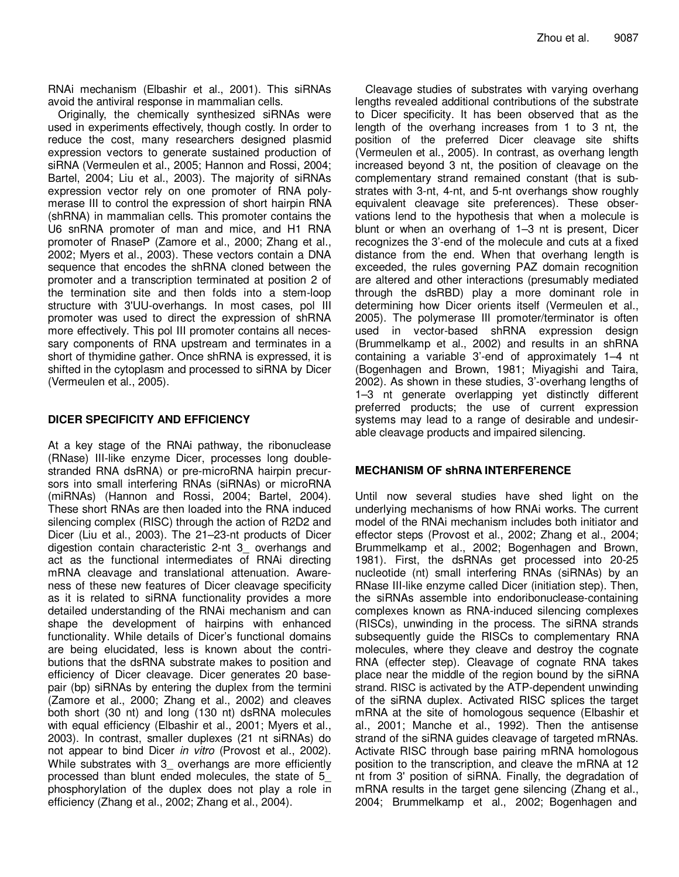RNAi mechanism (Elbashir et al., 2001). This siRNAs avoid the antiviral response in mammalian cells.

Originally, the chemically synthesized siRNAs were used in experiments effectively, though costly. In order to reduce the cost, many researchers designed plasmid expression vectors to generate sustained production of siRNA (Vermeulen et al., 2005; Hannon and Rossi, 2004; Bartel, 2004; Liu et al., 2003). The majority of siRNAs expression vector rely on one promoter of RNA polymerase III to control the expression of short hairpin RNA (shRNA) in mammalian cells. This promoter contains the U6 snRNA promoter of man and mice, and H1 RNA promoter of RnaseP (Zamore et al., 2000; Zhang et al., 2002; Myers et al., 2003). These vectors contain a DNA sequence that encodes the shRNA cloned between the promoter and a transcription terminated at position 2 of the termination site and then folds into a stem-loop structure with 3'UU-overhangs. In most cases, pol III promoter was used to direct the expression of shRNA more effectively. This pol III promoter contains all necessary components of RNA upstream and terminates in a short of thymidine gather. Once shRNA is expressed, it is shifted in the cytoplasm and processed to siRNA by Dicer (Vermeulen et al., 2005).

# **DICER SPECIFICITY AND EFFICIENCY**

At a key stage of the RNAi pathway, the ribonuclease (RNase) III-like enzyme Dicer, processes long doublestranded RNA dsRNA) or pre-microRNA hairpin precursors into small interfering RNAs (siRNAs) or microRNA (miRNAs) (Hannon and Rossi, 2004; Bartel, 2004). These short RNAs are then loaded into the RNA induced silencing complex (RISC) through the action of R2D2 and Dicer (Liu et al., 2003). The 21–23-nt products of Dicer digestion contain characteristic 2-nt 3\_ overhangs and act as the functional intermediates of RNAi directing mRNA cleavage and translational attenuation. Awareness of these new features of Dicer cleavage specificity as it is related to siRNA functionality provides a more detailed understanding of the RNAi mechanism and can shape the development of hairpins with enhanced functionality. While details of Dicer's functional domains are being elucidated, less is known about the contributions that the dsRNA substrate makes to position and efficiency of Dicer cleavage. Dicer generates 20 basepair (bp) siRNAs by entering the duplex from the termini (Zamore et al., 2000; Zhang et al., 2002) and cleaves both short (30 nt) and long (130 nt) dsRNA molecules with equal efficiency (Elbashir et al., 2001; Myers et al., 2003). In contrast, smaller duplexes (21 nt siRNAs) do not appear to bind Dicer *in vitro* (Provost et al., 2002). While substrates with 3 overhangs are more efficiently processed than blunt ended molecules, the state of 5\_ phosphorylation of the duplex does not play a role in efficiency (Zhang et al., 2002; Zhang et al., 2004).

Cleavage studies of substrates with varying overhang lengths revealed additional contributions of the substrate to Dicer specificity. It has been observed that as the length of the overhang increases from 1 to 3 nt, the position of the preferred Dicer cleavage site shifts (Vermeulen et al., 2005). In contrast, as overhang length increased beyond 3 nt, the position of cleavage on the complementary strand remained constant (that is substrates with 3-nt, 4-nt, and 5-nt overhangs show roughly equivalent cleavage site preferences). These observations lend to the hypothesis that when a molecule is blunt or when an overhang of 1–3 nt is present, Dicer recognizes the 3'-end of the molecule and cuts at a fixed distance from the end. When that overhang length is exceeded, the rules governing PAZ domain recognition are altered and other interactions (presumably mediated through the dsRBD) play a more dominant role in determining how Dicer orients itself (Vermeulen et al., 2005). The polymerase III promoter/terminator is often used in vector-based shRNA expression design (Brummelkamp et al., 2002) and results in an shRNA containing a variable 3'-end of approximately 1–4 nt (Bogenhagen and Brown, 1981; Miyagishi and Taira, 2002). As shown in these studies, 3'-overhang lengths of 1–3 nt generate overlapping yet distinctly different preferred products; the use of current expression systems may lead to a range of desirable and undesirable cleavage products and impaired silencing.

# **MECHANISM OF shRNA INTERFERENCE**

Until now several studies have shed light on the underlying mechanisms of how RNAi works. The current model of the RNAi mechanism includes both initiator and effector steps (Provost et al., 2002; Zhang et al., 2004; Brummelkamp et al., 2002; Bogenhagen and Brown, 1981). First, the dsRNAs get processed into 20-25 nucleotide (nt) small interfering RNAs (siRNAs) by an RNase III-like enzyme called Dicer (initiation step). Then, the siRNAs assemble into endoribonuclease-containing complexes known as RNA-induced silencing complexes (RISCs), unwinding in the process. The siRNA strands subsequently guide the RISCs to complementary RNA molecules, where they cleave and destroy the cognate RNA (effecter step). Cleavage of cognate RNA takes place near the middle of the region bound by the siRNA strand. RISC is activated by the ATP-dependent unwinding of the siRNA duplex. Activated RISC splices the target mRNA at the site of homologous sequence (Elbashir et al., 2001; Manche et al., 1992). Then the antisense strand of the siRNA guides cleavage of targeted mRNAs. Activate RISC through base pairing mRNA homologous position to the transcription, and cleave the mRNA at 12 nt from 3' position of siRNA. Finally, the degradation of mRNA results in the target gene silencing (Zhang et al., 2004; Brummelkamp et al., 2002; Bogenhagen and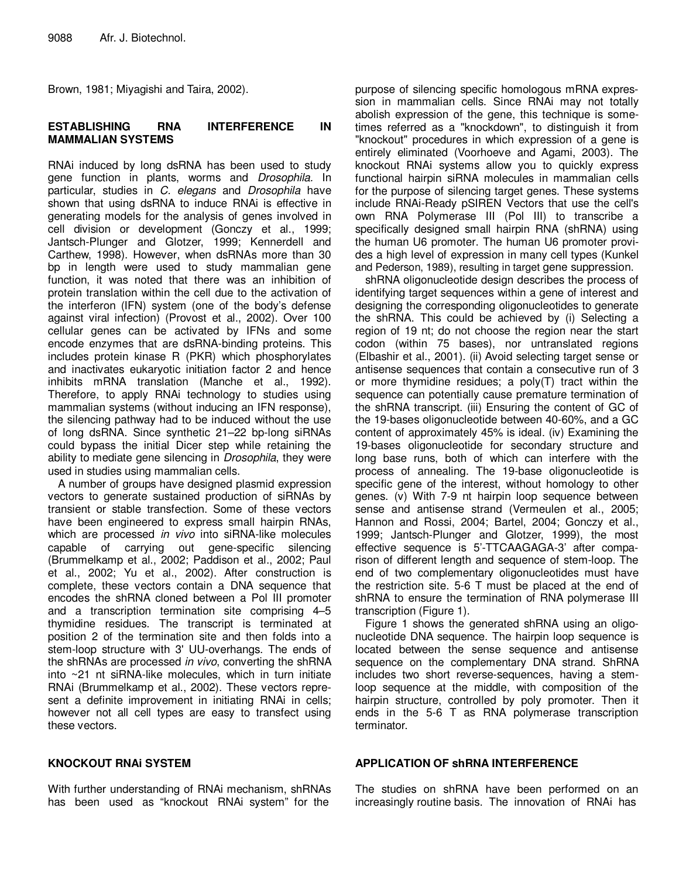Brown, 1981; Miyagishi and Taira, 2002).

#### **ESTABLISHING RNA INTERFERENCE IN MAMMALIAN SYSTEMS**

RNAi induced by long dsRNA has been used to study gene function in plants, worms and *Drosophila.* In particular, studies in *C. elegans* and *Drosophila* have shown that using dsRNA to induce RNAi is effective in generating models for the analysis of genes involved in cell division or development (Gonczy et al., 1999; Jantsch-Plunger and Glotzer, 1999; Kennerdell and Carthew, 1998). However, when dsRNAs more than 30 bp in length were used to study mammalian gene function, it was noted that there was an inhibition of protein translation within the cell due to the activation of the interferon (IFN) system (one of the body's defense against viral infection) (Provost et al., 2002). Over 100 cellular genes can be activated by IFNs and some encode enzymes that are dsRNA-binding proteins. This includes protein kinase R (PKR) which phosphorylates and inactivates eukaryotic initiation factor 2 and hence inhibits mRNA translation (Manche et al., 1992). Therefore, to apply RNAi technology to studies using mammalian systems (without inducing an IFN response), the silencing pathway had to be induced without the use of long dsRNA. Since synthetic 21–22 bp-long siRNAs could bypass the initial Dicer step while retaining the ability to mediate gene silencing in *Drosophila*, they were used in studies using mammalian cells.

A number of groups have designed plasmid expression vectors to generate sustained production of siRNAs by transient or stable transfection. Some of these vectors have been engineered to express small hairpin RNAs, which are processed *in vivo* into siRNA-like molecules capable of carrying out gene-specific silencing (Brummelkamp et al., 2002; Paddison et al., 2002; Paul et al., 2002; Yu et al., 2002). After construction is complete, these vectors contain a DNA sequence that encodes the shRNA cloned between a Pol III promoter and a transcription termination site comprising 4–5 thymidine residues. The transcript is terminated at position 2 of the termination site and then folds into a stem-loop structure with 3' UU-overhangs. The ends of the shRNAs are processed *in vivo*, converting the shRNA into ~21 nt siRNA-like molecules, which in turn initiate RNAi (Brummelkamp et al., 2002). These vectors represent a definite improvement in initiating RNAi in cells; however not all cell types are easy to transfect using these vectors.

purpose of silencing specific homologous mRNA expression in mammalian cells. Since RNAi may not totally abolish expression of the gene, this technique is sometimes referred as a "knockdown", to distinguish it from "knockout" procedures in which expression of a gene is entirely eliminated (Voorhoeve and Agami, 2003). The knockout RNAi systems allow you to quickly express functional hairpin siRNA molecules in mammalian cells for the purpose of silencing target genes. These systems include RNAi-Ready pSIREN Vectors that use the cell's own RNA Polymerase III (Pol III) to transcribe a specifically designed small hairpin RNA (shRNA) using the human U6 promoter. The human U6 promoter provides a high level of expression in many cell types (Kunkel and Pederson, 1989), resulting in target gene suppression.

shRNA oligonucleotide design describes the process of identifying target sequences within a gene of interest and designing the corresponding oligonucleotides to generate the shRNA. This could be achieved by (i) Selecting a region of 19 nt; do not choose the region near the start codon (within 75 bases), nor untranslated regions (Elbashir et al., 2001). (ii) Avoid selecting target sense or antisense sequences that contain a consecutive run of 3 or more thymidine residues; a  $poly(T)$  tract within the sequence can potentially cause premature termination of the shRNA transcript. (iii) Ensuring the content of GC of the 19-bases oligonucleotide between 40-60%, and a GC content of approximately 45% is ideal. (iv) Examining the 19-bases oligonucleotide for secondary structure and long base runs, both of which can interfere with the process of annealing. The 19-base oligonucleotide is specific gene of the interest, without homology to other genes. (v) With 7-9 nt hairpin loop sequence between sense and antisense strand (Vermeulen et al., 2005; Hannon and Rossi, 2004; Bartel, 2004; Gonczy et al., 1999; Jantsch-Plunger and Glotzer, 1999), the most effective sequence is 5'-TTCAAGAGA-3' after comparison of different length and sequence of stem-loop. The end of two complementary oligonucleotides must have the restriction site. 5-6 T must be placed at the end of shRNA to ensure the termination of RNA polymerase III transcription (Figure 1).

Figure 1 shows the generated shRNA using an oligonucleotide DNA sequence. The hairpin loop sequence is located between the sense sequence and antisense sequence on the complementary DNA strand. ShRNA includes two short reverse-sequences, having a stemloop sequence at the middle, with composition of the hairpin structure, controlled by poly promoter. Then it ends in the 5-6 T as RNA polymerase transcription terminator.

#### **KNOCKOUT RNAi SYSTEM**

With further understanding of RNAi mechanism, shRNAs has been used as "knockout RNAi system" for the

#### **APPLICATION OF shRNA INTERFERENCE**

The studies on shRNA have been performed on an increasingly routine basis. The innovation of RNAi has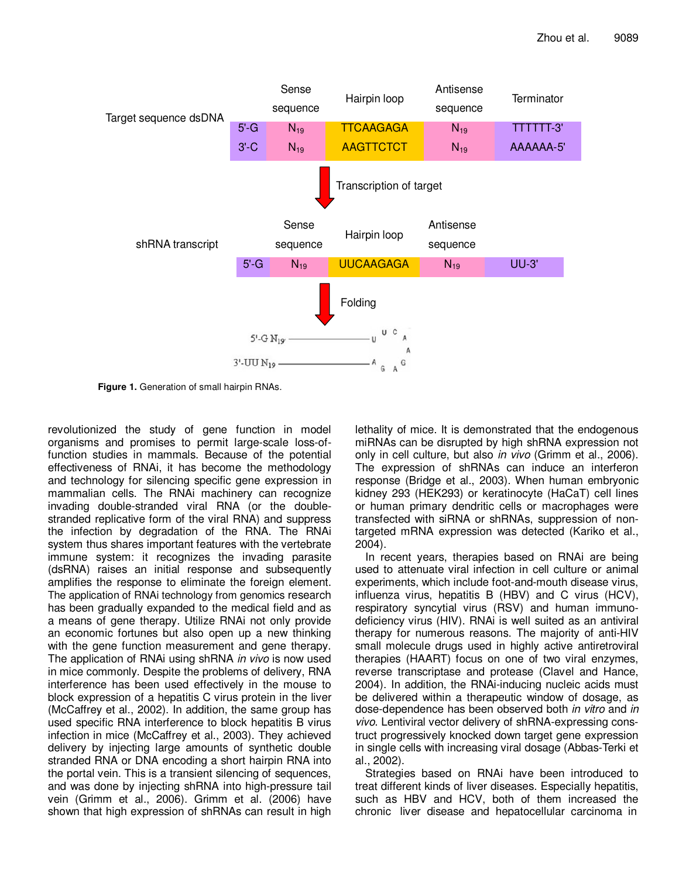

**Figure 1.** Generation of small hairpin RNAs.

revolutionized the study of gene function in model organisms and promises to permit large-scale loss-offunction studies in mammals. Because of the potential effectiveness of RNAi, it has become the methodology and technology for silencing specific gene expression in mammalian cells. The RNAi machinery can recognize invading double-stranded viral RNA (or the doublestranded replicative form of the viral RNA) and suppress the infection by degradation of the RNA. The RNAi system thus shares important features with the vertebrate immune system: it recognizes the invading parasite (dsRNA) raises an initial response and subsequently amplifies the response to eliminate the foreign element. The application of RNAi technology from genomics research has been gradually expanded to the medical field and as a means of gene therapy. Utilize RNAi not only provide an economic fortunes but also open up a new thinking with the gene function measurement and gene therapy. The application of RNAi using shRNA *in vivo* is now used in mice commonly. Despite the problems of delivery, RNA interference has been used effectively in the mouse to block expression of a hepatitis C virus protein in the liver (McCaffrey et al., 2002). In addition, the same group has used specific RNA interference to block hepatitis B virus infection in mice (McCaffrey et al., 2003). They achieved delivery by injecting large amounts of synthetic double stranded RNA or DNA encoding a short hairpin RNA into the portal vein. This is a transient silencing of sequences, and was done by injecting shRNA into high-pressure tail vein (Grimm et al., 2006). Grimm et al. (2006) have shown that high expression of shRNAs can result in high

lethality of mice. It is demonstrated that the endogenous miRNAs can be disrupted by high shRNA expression not only in cell culture, but also *in vivo* (Grimm et al., 2006). The expression of shRNAs can induce an interferon response (Bridge et al., 2003). When human embryonic kidney 293 (HEK293) or keratinocyte (HaCaT) cell lines or human primary dendritic cells or macrophages were transfected with siRNA or shRNAs, suppression of nontargeted mRNA expression was detected (Kariko et al., 2004).

In recent years, therapies based on RNAi are being used to attenuate viral infection in cell culture or animal experiments, which include foot-and-mouth disease virus, influenza virus, hepatitis B (HBV) and C virus (HCV), respiratory syncytial virus (RSV) and human immunodeficiency virus (HIV). RNAi is well suited as an antiviral therapy for numerous reasons. The majority of anti-HIV small molecule drugs used in highly active antiretroviral therapies (HAART) focus on one of two viral enzymes, reverse transcriptase and protease (Clavel and Hance, 2004). In addition, the RNAi-inducing nucleic acids must be delivered within a therapeutic window of dosage, as dose-dependence has been observed both *in vitro* and *in vivo*. Lentiviral vector delivery of shRNA-expressing construct progressively knocked down target gene expression in single cells with increasing viral dosage (Abbas-Terki et al., 2002).

Strategies based on RNAi have been introduced to treat different kinds of liver diseases. Especially hepatitis, such as HBV and HCV, both of them increased the chronic liver disease and hepatocellular carcinoma in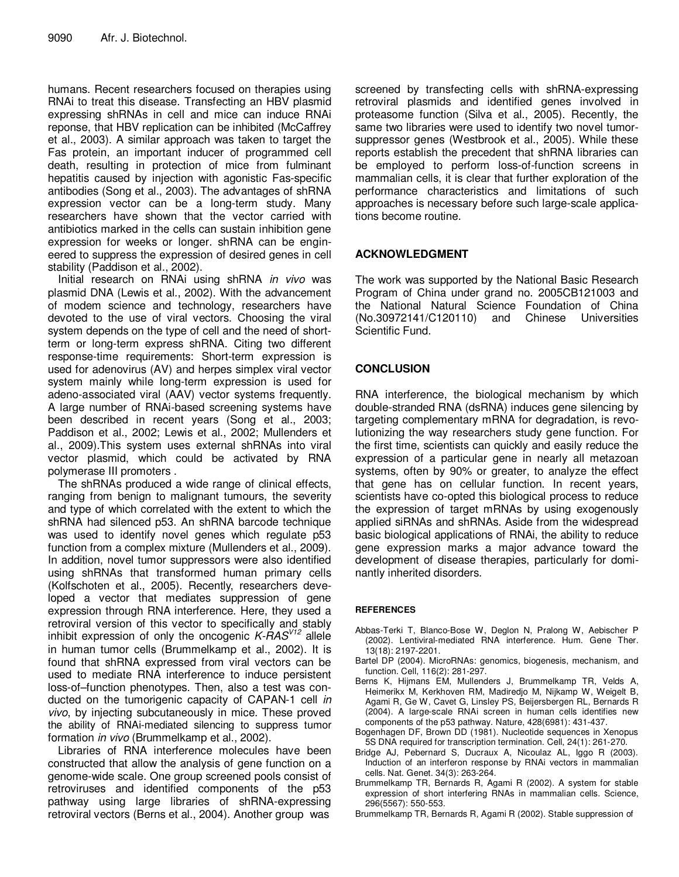humans. Recent researchers focused on therapies using RNAi to treat this disease. Transfecting an HBV plasmid expressing shRNAs in cell and mice can induce RNAi reponse, that HBV replication can be inhibited (McCaffrey et al., 2003). A similar approach was taken to target the Fas protein, an important inducer of programmed cell death, resulting in protection of mice from fulminant hepatitis caused by injection with agonistic Fas-specific antibodies (Song et al., 2003). The advantages of shRNA expression vector can be a long-term study. Many researchers have shown that the vector carried with antibiotics marked in the cells can sustain inhibition gene expression for weeks or longer. shRNA can be engineered to suppress the expression of desired genes in cell stability (Paddison et al., 2002).

Initial research on RNAi using shRNA *in vivo* was plasmid DNA (Lewis et al., 2002). With the advancement of modem science and technology, researchers have devoted to the use of viral vectors. Choosing the viral system depends on the type of cell and the need of shortterm or long-term express shRNA. Citing two different response-time requirements: Short-term expression is used for adenovirus (AV) and herpes simplex viral vector system mainly while long-term expression is used for adeno-associated viral (AAV) vector systems frequently. A large number of RNAi-based screening systems have been described in recent years (Song et al., 2003; Paddison et al., 2002; Lewis et al., 2002; Mullenders et al., 2009).This system uses external shRNAs into viral vector plasmid, which could be activated by RNA polymerase III promoters .

The shRNAs produced a wide range of clinical effects, ranging from benign to malignant tumours, the severity and type of which correlated with the extent to which the shRNA had silenced p53. An shRNA barcode technique was used to identify novel genes which regulate p53 function from a complex mixture (Mullenders et al., 2009). In addition, novel tumor suppressors were also identified using shRNAs that transformed human primary cells (Kolfschoten et al., 2005). Recently, researchers developed a vector that mediates suppression of gene expression through RNA interference. Here, they used a retroviral version of this vector to specifically and stably inhibit expression of only the oncogenic *K-RAS V12* allele in human tumor cells (Brummelkamp et al., 2002). It is found that shRNA expressed from viral vectors can be used to mediate RNA interference to induce persistent loss-of–function phenotypes. Then, also a test was conducted on the tumorigenic capacity of CAPAN-1 cell *in vivo*, by injecting subcutaneously in mice. These proved the ability of RNAi-mediated silencing to suppress tumor formation *in vivo* (Brummelkamp et al., 2002).

Libraries of RNA interference molecules have been constructed that allow the analysis of gene function on a genome-wide scale. One group screened pools consist of retroviruses and identified components of the p53 pathway using large libraries of shRNA-expressing retroviral vectors (Berns et al., 2004). Another group was

screened by transfecting cells with shRNA-expressing retroviral plasmids and identified genes involved in proteasome function (Silva et al., 2005). Recently, the same two libraries were used to identify two novel tumorsuppressor genes (Westbrook et al., 2005). While these reports establish the precedent that shRNA libraries can be employed to perform loss-of-function screens in mammalian cells, it is clear that further exploration of the performance characteristics and limitations of such approaches is necessary before such large-scale applications become routine.

### **ACKNOWLEDGMENT**

The work was supported by the National Basic Research Program of China under grand no. 2005CB121003 and the National Natural Science Foundation of China (No.30972141/C120110) and Chinese Universities Scientific Fund.

# **CONCLUSION**

RNA interference, the biological mechanism by which double-stranded RNA (dsRNA) induces gene silencing by targeting complementary mRNA for degradation, is revolutionizing the way researchers study gene function. For the first time, scientists can quickly and easily reduce the expression of a particular gene in nearly all metazoan systems, often by 90% or greater, to analyze the effect that gene has on cellular function. In recent years, scientists have co-opted this biological process to reduce the expression of target mRNAs by using exogenously applied siRNAs and shRNAs. Aside from the widespread basic biological applications of RNAi, the ability to reduce gene expression marks a major advance toward the development of disease therapies, particularly for dominantly inherited disorders.

#### **REFERENCES**

- Abbas-Terki T, Blanco-Bose W, Deglon N, Pralong W, Aebischer P (2002). Lentiviral-mediated RNA interference. Hum. Gene Ther. 13(18): 2197-2201.
- Bartel DP (2004). MicroRNAs: genomics, biogenesis, mechanism, and function. Cell, 116(2): 281-297.
- Berns K, Hijmans EM, Mullenders J, Brummelkamp TR, Velds A, Heimerikx M, Kerkhoven RM, Madiredjo M, Nijkamp W, Weigelt B, Agami R, Ge W, Cavet G, Linsley PS, Beijersbergen RL, Bernards R (2004). A large-scale RNAi screen in human cells identifies new components of the p53 pathway. Nature, 428(6981): 431-437.
- Bogenhagen DF, Brown DD (1981). Nucleotide sequences in Xenopus 5S DNA required for transcription termination. Cell, 24(1): 261-270.
- Bridge AJ, Pebernard S, Ducraux A, Nicoulaz AL, Iggo R (2003). Induction of an interferon response by RNAi vectors in mammalian cells. Nat. Genet. 34(3): 263-264.
- Brummelkamp TR, Bernards R, Agami R (2002). A system for stable expression of short interfering RNAs in mammalian cells. Science, 296(5567): 550-553.
- Brummelkamp TR, Bernards R, Agami R (2002). Stable suppression of